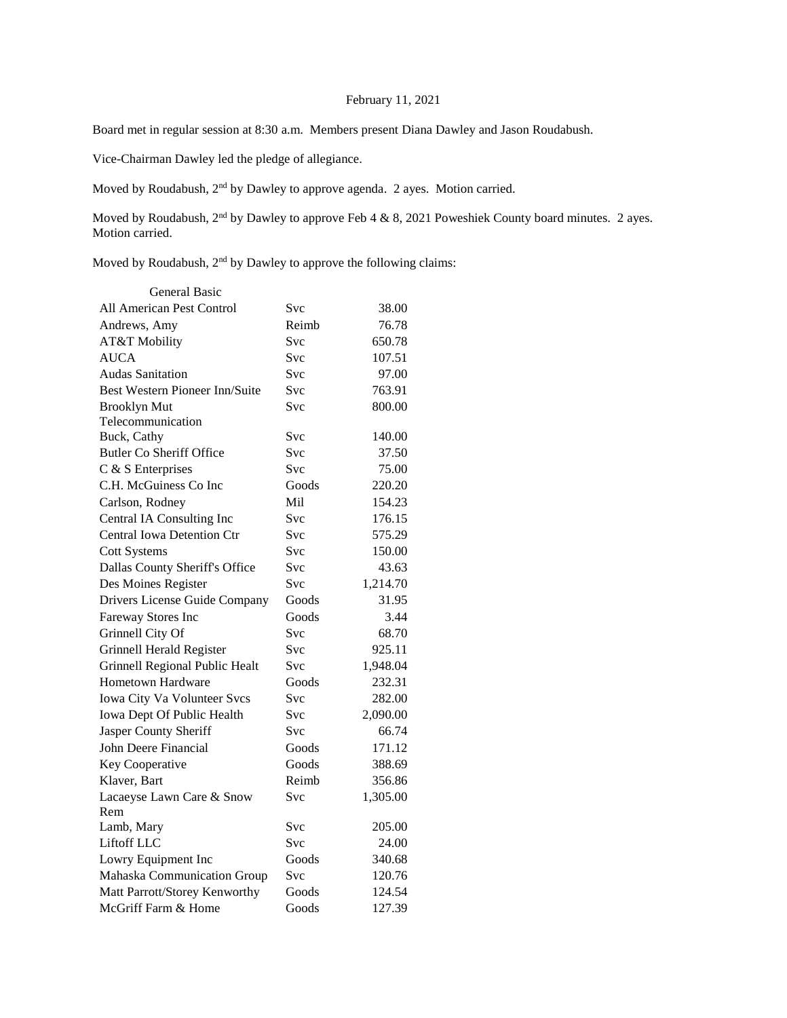## February 11, 2021

Board met in regular session at 8:30 a.m. Members present Diana Dawley and Jason Roudabush.

Vice-Chairman Dawley led the pledge of allegiance.

Moved by Roudabush, 2nd by Dawley to approve agenda. 2 ayes. Motion carried.

Moved by Roudabush, 2<sup>nd</sup> by Dawley to approve Feb 4 & 8, 2021 Poweshiek County board minutes. 2 ayes. Motion carried.

Moved by Roudabush, 2<sup>nd</sup> by Dawley to approve the following claims:

| General Basic                     |            |          |
|-----------------------------------|------------|----------|
| All American Pest Control         | Svc        | 38.00    |
| Andrews, Amy                      | Reimb      | 76.78    |
| AT&T Mobility                     | Svc        | 650.78   |
| <b>AUCA</b>                       | Svc        | 107.51   |
| <b>Audas Sanitation</b>           | Svc        | 97.00    |
| Best Western Pioneer Inn/Suite    | <b>Svc</b> | 763.91   |
| <b>Brooklyn Mut</b>               | Svc        | 800.00   |
| Telecommunication                 |            |          |
| Buck, Cathy                       | Svc        | 140.00   |
| <b>Butler Co Sheriff Office</b>   | <b>Svc</b> | 37.50    |
| C & S Enterprises                 | <b>Svc</b> | 75.00    |
| C.H. McGuiness Co Inc             | Goods      | 220.20   |
| Carlson, Rodney                   | Mil.       | 154.23   |
| Central IA Consulting Inc         | <b>Svc</b> | 176.15   |
| <b>Central Iowa Detention Ctr</b> | Svc        | 575.29   |
| <b>Cott Systems</b>               | Svc        | 150.00   |
| Dallas County Sheriff's Office    | Svc        | 43.63    |
| Des Moines Register               | Svc        | 1,214.70 |
| Drivers License Guide Company     | Goods      | 31.95    |
| Fareway Stores Inc                | Goods      | 3.44     |
| Grinnell City Of                  | Svc        | 68.70    |
| Grinnell Herald Register          | Svc        | 925.11   |
| Grinnell Regional Public Healt    | <b>Svc</b> | 1,948.04 |
| <b>Hometown Hardware</b>          | Goods      | 232.31   |
| Iowa City Va Volunteer Svcs       | Svc        | 282.00   |
| Iowa Dept Of Public Health        | <b>Svc</b> | 2,090.00 |
| Jasper County Sheriff             | <b>Svc</b> | 66.74    |
| John Deere Financial              | Goods      | 171.12   |
| Key Cooperative                   | Goods      | 388.69   |
| Klaver, Bart                      | Reimb      | 356.86   |
| Lacaeyse Lawn Care & Snow         | Svc        | 1,305.00 |
| Rem                               |            |          |
| Lamb, Mary                        | Svc        | 205.00   |
| Liftoff LLC                       | <b>Svc</b> | 24.00    |
| Lowry Equipment Inc               | Goods      | 340.68   |
| Mahaska Communication Group       | Svc        | 120.76   |
| Matt Parrott/Storey Kenworthy     | Goods      | 124.54   |
| McGriff Farm & Home               | Goods      | 127.39   |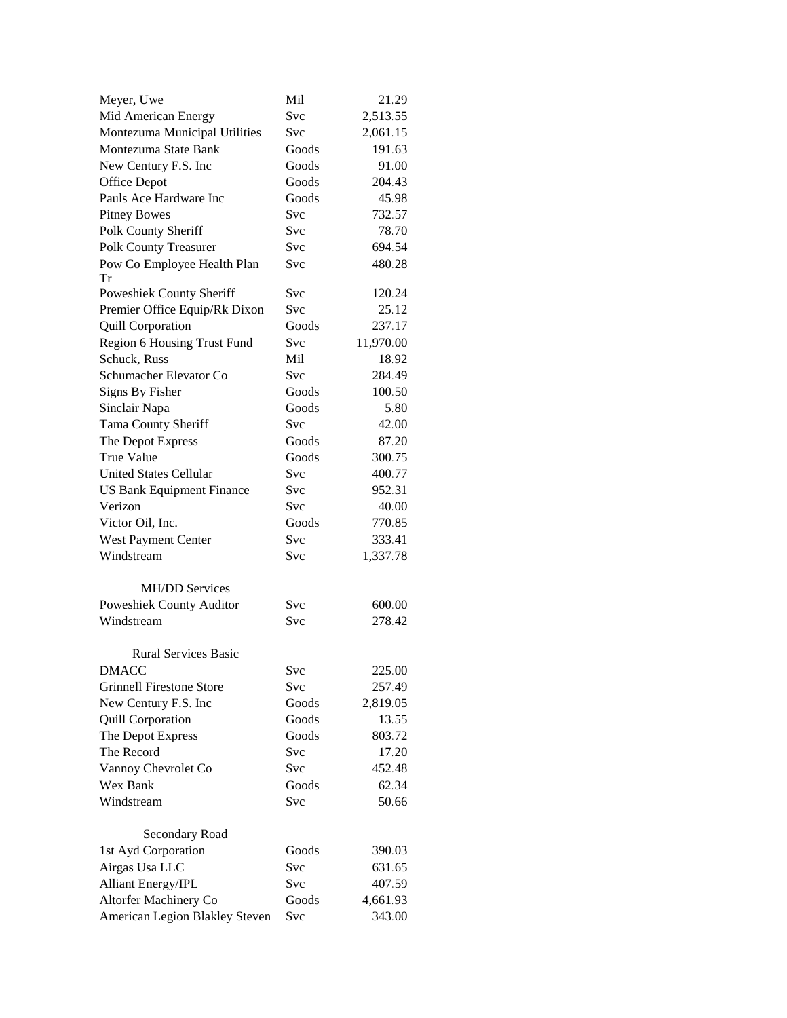| Meyer, Uwe                                                | Mil        | 21.29     |
|-----------------------------------------------------------|------------|-----------|
| Mid American Energy                                       | Svc        | 2,513.55  |
| Montezuma Municipal Utilities                             | Svc        | 2,061.15  |
| Montezuma State Bank                                      | Goods      | 191.63    |
| New Century F.S. Inc                                      | Goods      | 91.00     |
| Office Depot                                              | Goods      | 204.43    |
| Pauls Ace Hardware Inc                                    | Goods      | 45.98     |
| <b>Pitney Bowes</b>                                       | Svc        | 732.57    |
| Polk County Sheriff                                       | <b>Svc</b> | 78.70     |
| <b>Polk County Treasurer</b>                              | <b>Svc</b> | 694.54    |
| Pow Co Employee Health Plan                               | Svc        | 480.28    |
| Tr<br>Poweshiek County Sheriff                            | <b>Svc</b> | 120.24    |
|                                                           | Svc        | 25.12     |
| Premier Office Equip/Rk Dixon<br><b>Quill Corporation</b> | Goods      | 237.17    |
|                                                           | <b>Svc</b> |           |
| Region 6 Housing Trust Fund                               | Mil        | 11,970.00 |
| Schuck, Russ                                              |            | 18.92     |
| Schumacher Elevator Co                                    | Svc        | 284.49    |
| Signs By Fisher                                           | Goods      | 100.50    |
| Sinclair Napa                                             | Goods      | 5.80      |
| Tama County Sheriff                                       | Svc        | 42.00     |
| The Depot Express                                         | Goods      | 87.20     |
| <b>True Value</b>                                         | Goods      | 300.75    |
| <b>United States Cellular</b>                             | Svc        | 400.77    |
| <b>US Bank Equipment Finance</b>                          | Svc        | 952.31    |
| Verizon                                                   | Svc        | 40.00     |
| Victor Oil, Inc.                                          | Goods      | 770.85    |
| West Payment Center                                       | <b>Svc</b> | 333.41    |
| Windstream                                                | Svc        | 1,337.78  |
| <b>MH/DD Services</b>                                     |            |           |
| Poweshiek County Auditor                                  | Svc        | 600.00    |
| Windstream                                                | Svc        | 278.42    |
| <b>Rural Services Basic</b>                               |            |           |
| <b>DMACC</b>                                              | Svc        | 225.00    |
| <b>Grinnell Firestone Store</b>                           | Svc        | 257.49    |
| New Century F.S. Inc                                      | Goods      | 2,819.05  |
| <b>Quill Corporation</b>                                  | Goods      | 13.55     |
| The Depot Express                                         | Goods      | 803.72    |
| The Record                                                | Svc        | 17.20     |
| Vannoy Chevrolet Co                                       | Svc        | 452.48    |
| Wex Bank                                                  | Goods      | 62.34     |
| Windstream                                                | Svc        | 50.66     |
| Secondary Road                                            |            |           |
| 1st Ayd Corporation                                       | Goods      | 390.03    |
| Airgas Usa LLC                                            | Svc        | 631.65    |
| Alliant Energy/IPL                                        | Svc        | 407.59    |
| Altorfer Machinery Co                                     | Goods      | 4,661.93  |
| American Legion Blakley Steven                            | Svc        | 343.00    |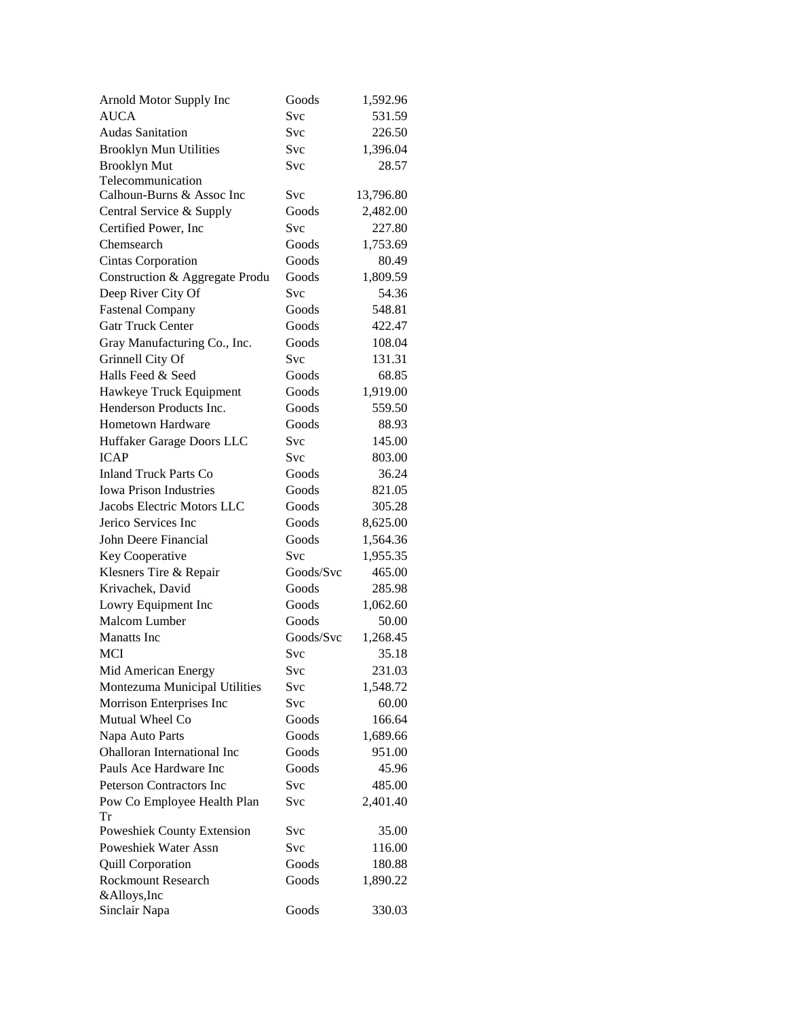| Arnold Motor Supply Inc         | Goods     | 1,592.96  |
|---------------------------------|-----------|-----------|
| <b>AUCA</b>                     | Svc       | 531.59    |
| <b>Audas Sanitation</b>         | Svc       | 226.50    |
| <b>Brooklyn Mun Utilities</b>   | Svc       | 1,396.04  |
| <b>Brooklyn Mut</b>             | Svc       | 28.57     |
| Telecommunication               |           |           |
| Calhoun-Burns & Assoc Inc       | Svc       | 13,796.80 |
| Central Service & Supply        | Goods     | 2,482.00  |
| Certified Power, Inc.           | Svc       | 227.80    |
| Chemsearch                      | Goods     | 1,753.69  |
| <b>Cintas Corporation</b>       | Goods     | 80.49     |
| Construction & Aggregate Produ  | Goods     | 1,809.59  |
| Deep River City Of              | Svc       | 54.36     |
| <b>Fastenal Company</b>         | Goods     | 548.81    |
| <b>Gatr Truck Center</b>        | Goods     | 422.47    |
| Gray Manufacturing Co., Inc.    | Goods     | 108.04    |
| Grinnell City Of                | Svc       | 131.31    |
| Halls Feed & Seed               | Goods     | 68.85     |
| Hawkeye Truck Equipment         | Goods     | 1,919.00  |
| Henderson Products Inc.         | Goods     | 559.50    |
| <b>Hometown Hardware</b>        | Goods     | 88.93     |
| Huffaker Garage Doors LLC       | Svc       | 145.00    |
| <b>ICAP</b>                     | Svc       | 803.00    |
| <b>Inland Truck Parts Co</b>    | Goods     | 36.24     |
| <b>Iowa Prison Industries</b>   | Goods     | 821.05    |
| Jacobs Electric Motors LLC      | Goods     | 305.28    |
| Jerico Services Inc             | Goods     | 8,625.00  |
| John Deere Financial            | Goods     | 1,564.36  |
| Key Cooperative                 | Svc       | 1,955.35  |
| Klesners Tire & Repair          | Goods/Svc | 465.00    |
| Krivachek, David                | Goods     | 285.98    |
| Lowry Equipment Inc             | Goods     | 1,062.60  |
| Malcom Lumber                   | Goods     | 50.00     |
| Manatts Inc                     | Goods/Svc | 1,268.45  |
| MCI                             | Svc       | 35.18     |
| Mid American Energy             | Svc       | 231.03    |
| Montezuma Municipal Utilities   | Svc       | 1,548.72  |
| Morrison Enterprises Inc        | Svc       | 60.00     |
| Mutual Wheel Co                 | Goods     | 166.64    |
| Napa Auto Parts                 | Goods     | 1,689.66  |
| Ohalloran International Inc     | Goods     | 951.00    |
| Pauls Ace Hardware Inc          | Goods     | 45.96     |
| <b>Peterson Contractors Inc</b> | Svc       | 485.00    |
| Pow Co Employee Health Plan     | Svc       | 2,401.40  |
| Tr                              |           |           |
| Poweshiek County Extension      | Svc       | 35.00     |
| Poweshiek Water Assn            | Svc       | 116.00    |
| <b>Quill Corporation</b>        | Goods     | 180.88    |
| <b>Rockmount Research</b>       | Goods     | 1,890.22  |
| &Alloys, Inc                    |           |           |
| Sinclair Napa                   | Goods     | 330.03    |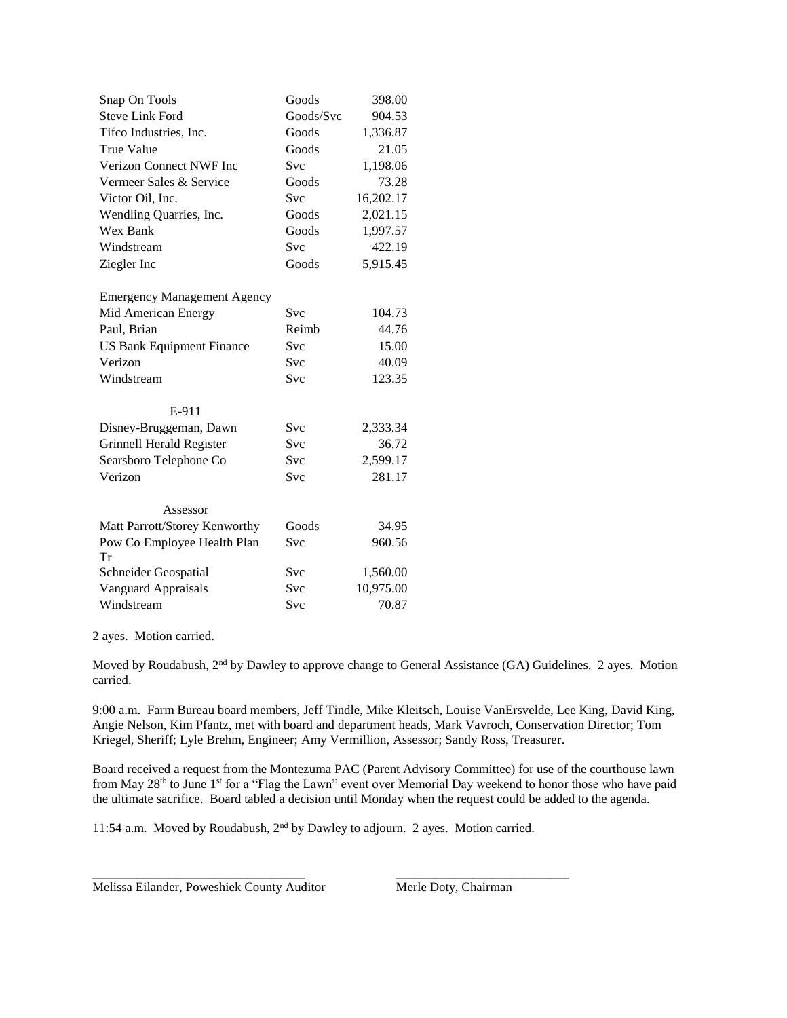| Snap On Tools                      | Goods      | 398.00    |
|------------------------------------|------------|-----------|
| <b>Steve Link Ford</b>             | Goods/Svc  | 904.53    |
| Tifco Industries, Inc.             | Goods      | 1,336.87  |
| <b>True Value</b>                  | Goods      | 21.05     |
| <b>Verizon Connect NWF Inc</b>     | <b>Svc</b> | 1,198.06  |
| Vermeer Sales & Service            | Goods      | 73.28     |
| Victor Oil, Inc.                   | Svc        | 16,202.17 |
| Wendling Quarries, Inc.            | Goods      | 2,021.15  |
| Wex Bank                           | Goods      | 1,997.57  |
| Windstream                         | <b>Svc</b> | 422.19    |
| Ziegler Inc                        | Goods      | 5,915.45  |
|                                    |            |           |
| <b>Emergency Management Agency</b> |            |           |
| Mid American Energy                | <b>Svc</b> | 104.73    |
| Paul, Brian                        | Reimb      | 44.76     |
| <b>US Bank Equipment Finance</b>   | <b>Svc</b> | 15.00     |
| Verizon                            | <b>Svc</b> | 40.09     |
| Windstream                         | Svc        | 123.35    |
| E-911                              |            |           |
| Disney-Bruggeman, Dawn             | <b>Svc</b> | 2,333.34  |
| Grinnell Herald Register           | Svc        | 36.72     |
| Searsboro Telephone Co             | <b>Svc</b> | 2,599.17  |
| Verizon                            | Svc        | 281.17    |
|                                    |            |           |
| Assessor                           |            |           |
| Matt Parrott/Storey Kenworthy      | Goods      | 34.95     |
| Pow Co Employee Health Plan<br>Tr  | Svc        | 960.56    |
| Schneider Geospatial               | Svc        | 1,560.00  |
| Vanguard Appraisals                | Svc        | 10,975.00 |
| Windstream                         | <b>Svc</b> | 70.87     |

2 ayes. Motion carried.

Moved by Roudabush, 2<sup>nd</sup> by Dawley to approve change to General Assistance (GA) Guidelines. 2 ayes. Motion carried.

9:00 a.m. Farm Bureau board members, Jeff Tindle, Mike Kleitsch, Louise VanErsvelde, Lee King, David King, Angie Nelson, Kim Pfantz, met with board and department heads, Mark Vavroch, Conservation Director; Tom Kriegel, Sheriff; Lyle Brehm, Engineer; Amy Vermillion, Assessor; Sandy Ross, Treasurer.

Board received a request from the Montezuma PAC (Parent Advisory Committee) for use of the courthouse lawn from May 28<sup>th</sup> to June 1<sup>st</sup> for a "Flag the Lawn" event over Memorial Day weekend to honor those who have paid the ultimate sacrifice. Board tabled a decision until Monday when the request could be added to the agenda.

11:54 a.m. Moved by Roudabush, 2nd by Dawley to adjourn. 2 ayes. Motion carried.

\_\_\_\_\_\_\_\_\_\_\_\_\_\_\_\_\_\_\_\_\_\_\_\_\_\_\_\_\_\_\_\_\_ \_\_\_\_\_\_\_\_\_\_\_\_\_\_\_\_\_\_\_\_\_\_\_\_\_\_\_

Melissa Eilander, Poweshiek County Auditor Merle Doty, Chairman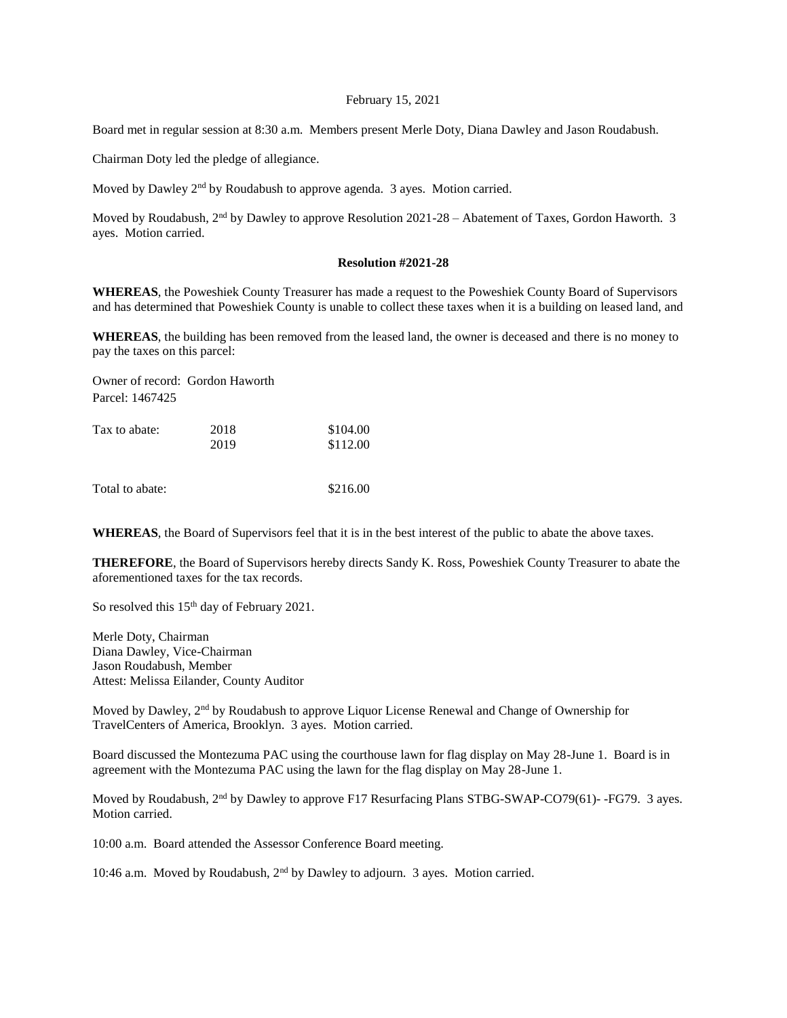## February 15, 2021

Board met in regular session at 8:30 a.m. Members present Merle Doty, Diana Dawley and Jason Roudabush.

Chairman Doty led the pledge of allegiance.

Moved by Dawley 2<sup>nd</sup> by Roudabush to approve agenda. 3 ayes. Motion carried.

Moved by Roudabush, 2<sup>nd</sup> by Dawley to approve Resolution 2021-28 – Abatement of Taxes, Gordon Haworth. 3 ayes. Motion carried.

## **Resolution #2021-28**

**WHEREAS**, the Poweshiek County Treasurer has made a request to the Poweshiek County Board of Supervisors and has determined that Poweshiek County is unable to collect these taxes when it is a building on leased land, and

**WHEREAS**, the building has been removed from the leased land, the owner is deceased and there is no money to pay the taxes on this parcel:

Owner of record: Gordon Haworth Parcel: 1467425

| Tax to abate: | 2018 | \$104.00 |
|---------------|------|----------|
|               | 2019 | \$112.00 |
|               |      |          |

Total to abate:  $$216.00$ 

**WHEREAS**, the Board of Supervisors feel that it is in the best interest of the public to abate the above taxes.

**THEREFORE**, the Board of Supervisors hereby directs Sandy K. Ross, Poweshiek County Treasurer to abate the aforementioned taxes for the tax records.

So resolved this 15<sup>th</sup> day of February 2021.

Merle Doty, Chairman Diana Dawley, Vice-Chairman Jason Roudabush, Member Attest: Melissa Eilander, County Auditor

Moved by Dawley, 2<sup>nd</sup> by Roudabush to approve Liquor License Renewal and Change of Ownership for TravelCenters of America, Brooklyn. 3 ayes. Motion carried.

Board discussed the Montezuma PAC using the courthouse lawn for flag display on May 28-June 1. Board is in agreement with the Montezuma PAC using the lawn for the flag display on May 28-June 1.

Moved by Roudabush, 2<sup>nd</sup> by Dawley to approve F17 Resurfacing Plans STBG-SWAP-CO79(61)--FG79. 3 ayes. Motion carried.

10:00 a.m. Board attended the Assessor Conference Board meeting.

10:46 a.m. Moved by Roudabush,  $2<sup>nd</sup>$  by Dawley to adjourn. 3 ayes. Motion carried.